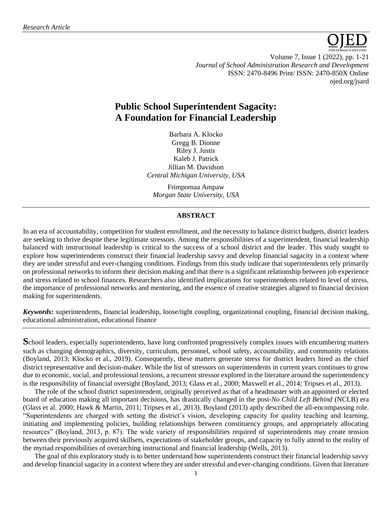

Volume 7, Issue 1 (2022), pp. 1-21 *Journal of School Administration Research and Development* ISSN: 2470-8496 Print/ ISSN: 2470-850X Online [ojed.org/jsard](https://www.ojed.org/index.php/JSARD)

# **Public School Superintendent Sagacity: A Foundation for Financial Leadership**

Barbara A. Klocko Gregg B. Dionne Riley J. Justis Kaleb J. Patrick Jillian M. Davidson *Central Michigan University, USA*

Frimpomaa Ampaw *Morgan State University, USA*

#### **ABSTRACT**

In an era of accountability, competition for student enrollment, and the necessity to balance district budgets, district leaders are seeking to thrive despite these legitimate stressors. Among the responsibilities of a superintendent, financial leadership balanced with instructional leadership is critical to the success of a school district and the leader. This study sought to explore how superintendents construct their financial leadership savvy and develop financial sagacity in a context where they are under stressful and ever-changing conditions. Findings from this study indicate that superintendents rely primarily on professional networks to inform their decision making and that there is a significant relationship between job experience and stress related to school finances. Researchers also identified implications for superintendents related to level of stress, the importance of professional networks and mentoring, and the essence of creative strategies aligned to financial decision making for superintendents.

*Keywords***:** superintendents, financial leadership, loose/tight coupling, organizational coupling, financial decision making, educational administration, educational finance

**S**chool leaders, especially superintendents, have long confronted progressively complex issues with encumbering matters such as changing demographics, diversity, curriculum, personnel, school safety, accountability, and community relations (Boyland, 2013; Klocko et al., 2019). Consequently, these matters generate stress for district leaders hired as the chief district representative and decision-maker. While the list of stressors on superintendents in current years continues to grow due to economic, social, and professional tensions, a recurrent stressor explored in the literature around the superintendency is the responsibility of financial oversight (Boyland, 2013; Glass et al., 2000; Maxwell et al., 2014; Tripses et al., 2013).

The role of the school district superintendent, originally perceived as that of a headmaster with an appointed or elected board of education making all important decisions, has drastically changed in the post-*No Child Left Behind* (NCLB) era (Glass et al. 2000; Hawk & Martin, 2011; Tripses et al., 2013). Boyland (2013) aptly described the all-encompassing role. "Superintendents are charged with setting the district's vision, developing capacity for quality teaching and learning, initiating and implementing policies, building relationships between constituency groups, and appropriately allocating resources" (Boyland, 2013, p. 87). The wide variety of responsibilities required of superintendents may create tension between their previously acquired skillsets, expectations of stakeholder groups, and capacity to fully attend to the reality of the myriad responsibilities of overarching instructional and financial leadership (Wells, 2013).

The goal of this exploratory study is to better understand how superintendents construct their financial leadership savvy and develop financial sagacity in a context where they are under stressful and ever-changing conditions. Given that literature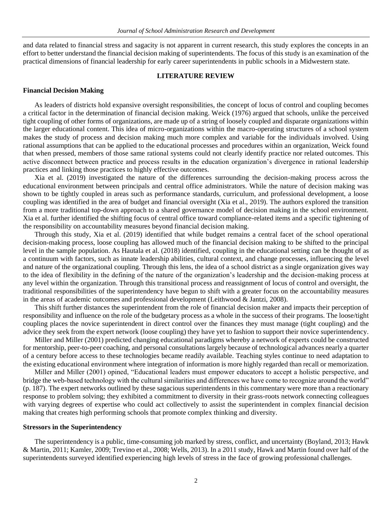and data related to financial stress and sagacity is not apparent in current research, this study explores the concepts in an effort to better understand the financial decision making of superintendents. The focus of this study is an examination of the practical dimensions of financial leadership for early career superintendents in public schools in a Midwestern state.

## **LITERATURE REVIEW**

#### **Financial Decision Making**

As leaders of districts hold expansive oversight responsibilities, the concept of locus of control and coupling becomes a critical factor in the determination of financial decision making. Weick (1976) argued that schools, unlike the perceived tight coupling of other forms of organizations, are made up of a string of loosely coupled and disparate organizations within the larger educational content. This idea of micro-organizations within the macro-operating structures of a school system makes the study of process and decision making much more complex and variable for the individuals involved. Using rational assumptions that can be applied to the educational processes and procedures within an organization, Weick found that when pressed, members of those same rational systems could not clearly identify practice nor related outcomes. This active disconnect between practice and process results in the education organization's divergence in rational leadership practices and linking those practices to highly effective outcomes.

Xia et al. (2019) investigated the nature of the differences surrounding the decision-making process across the educational environment between principals and central office administrators. While the nature of decision making was shown to be tightly coupled in areas such as performance standards, curriculum, and professional development, a loose coupling was identified in the area of budget and financial oversight (Xia et al., 2019). The authors explored the transition from a more traditional top-down approach to a shared governance model of decision making in the school environment. Xia et al. further identified the shifting focus of central office toward compliance-related items and a specific tightening of the responsibility on accountability measures beyond financial decision making.

Through this study, Xia et al. (2019) identified that while budget remains a central facet of the school operational decision-making process, loose coupling has allowed much of the financial decision making to be shifted to the principal level in the sample population. As Hautala et al. (2018) identified, coupling in the educational setting can be thought of as a continuum with factors, such as innate leadership abilities, cultural context, and change processes, influencing the level and nature of the organizational coupling. Through this lens, the idea of a school district as a single organization gives way to the idea of flexibility in the defining of the nature of the organization's leadership and the decision-making process at any level within the organization. Through this transitional process and reassignment of locus of control and oversight, the traditional responsibilities of the superintendency have begun to shift with a greater focus on the accountability measures in the areas of academic outcomes and professional development (Leithwood & Jantzi, 2008).

This shift further distances the superintendent from the role of financial decision maker and impacts their perception of responsibility and influence on the role of the budgetary process as a whole in the success of their programs. The loose/tight coupling places the novice superintendent in direct control over the finances they must manage (tight coupling) and the advice they seek from the expert network (loose coupling) they have yet to fashion to support their novice superintendency.

Miller and Miller (2001) predicted changing educational paradigms whereby a network of experts could be constructed for mentorship, peer-to-peer coaching, and personal consultations largely because of technological advances nearly a quarter of a century before access to these technologies became readily available. Teaching styles continue to need adaptation to the existing educational environment where integration of information is more highly regarded than recall or memorization.

Miller and Miller (2001) opined, "Educational leaders must empower educators to accept a holistic perspective, and bridge the web-based technology with the cultural similarities and differences we have come to recognize around the world" (p. 187). The expert networks outlined by these sagacious superintendents in this commentary were more than a reactionary response to problem solving; they exhibited a commitment to diversity in their grass-roots network connecting colleagues with varying degrees of expertise who could act collectively to assist the superintendent in complex financial decision making that creates high performing schools that promote complex thinking and diversity.

#### **Stressors in the Superintendency**

The superintendency is a public, time-consuming job marked by stress, conflict, and uncertainty (Boyland, 2013; Hawk & Martin, 2011; Kamler, 2009; Trevino et al., 2008; Wells, 2013). In a 2011 study, Hawk and Martin found over half of the superintendents surveyed identified experiencing high levels of stress in the face of growing professional challenges.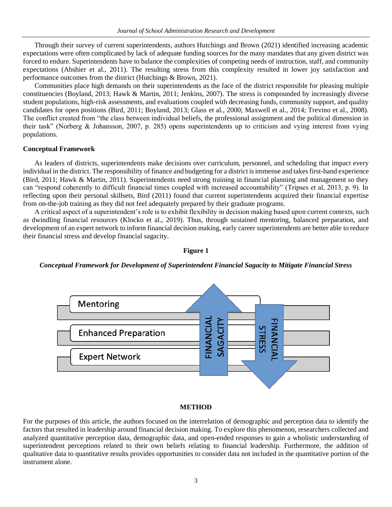Through their survey of current superintendents, authors Hutchings and Brown (2021) identified increasing academic expectations were often complicated by lack of adequate funding sources for the many mandates that any given district was forced to endure. Superintendents have to balance the complexities of competing needs of instruction, staff, and community expectations (Abshier et al., 2011). The resulting stress from this complexity resulted in lower joy satisfaction and performance outcomes from the district (Hutchings & Brown, 2021).

Communities place high demands on their superintendents as the face of the district responsible for pleasing multiple constituencies (Boyland, 2013; Hawk & Martin, 2011; Jenkins, 2007). The stress is compounded by increasingly diverse student populations, high-risk assessments, and evaluations coupled with decreasing funds, community support, and quality candidates for open positions (Bird, 2011; Boyland, 2013; Glass et al., 2000; Maxwell et al., 2014; Trevino et al., 2008). The conflict created from "the class between individual beliefs, the professional assignment and the political dimension in their task" (Norberg & Johansson, 2007, p. 285) opens superintendents up to criticism and vying interest from vying populations.

#### **Conceptual Framework**

As leaders of districts, superintendents make decisions over curriculum, personnel, and scheduling that impact every individual in the district. The responsibility of finance and budgeting for a district is immense and takes first-hand experience (Bird, 2011; Hawk & Martin, 2011). Superintendents need strong training in financial planning and management so they can "respond coherently to difficult financial times coupled with increased accountability" (Tripses et al, 2013, p. 9). In reflecting upon their personal skillsets, Bird (2011) found that current superintendents acquired their financial expertise from on-the-job training as they did not feel adequately prepared by their graduate programs.

A critical aspect of a superintendent's role is to exhibit flexibility in decision making based upon current contexts, such as dwindling financial resources (Klocko et al., 2019). Thus, through sustained mentoring, balanced preparation, and development of an expert network to inform financial decision making, early career superintendents are better able to reduce their financial stress and develop financial sagacity.



#### **Figure 1**

*Conceptual Framework for Development of Superintendent Financial Sagacity to Mitigate Financial Stress*

#### **METHOD**

For the purposes of this article, the authors focused on the interrelation of demographic and perception data to identify the factors that resulted in leadership around financial decision making. To explore this phenomenon, researchers collected and analyzed quantitative perception data, demographic data, and open-ended responses to gain a wholistic understanding of superintendent perceptions related to their own beliefs relating to financial leadership. Furthermore, the addition of qualitative data to quantitative results provides opportunities to consider data not included in the quantitative portion of the instrument alone.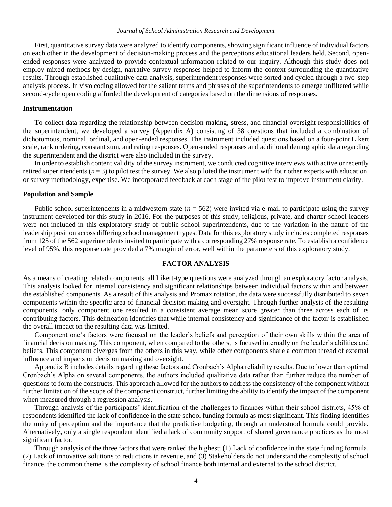First, quantitative survey data were analyzed to identify components, showing significant influence of individual factors on each other in the development of decision-making process and the perceptions educational leaders held. Second, openended responses were analyzed to provide contextual information related to our inquiry. Although this study does not employ mixed methods by design, narrative survey responses helped to inform the context surrounding the quantitative results. Through established qualitative data analysis, superintendent responses were sorted and cycled through a two-step analysis process. In vivo coding allowed for the salient terms and phrases of the superintendents to emerge unfiltered while second-cycle open coding afforded the development of categories based on the dimensions of responses.

#### **Instrumentation**

To collect data regarding the relationship between decision making, stress, and financial oversight responsibilities of the superintendent, we developed a survey (Appendix A) consisting of 38 questions that included a combination of dichotomous, nominal, ordinal, and open-ended responses. The instrument included questions based on a four-point Likert scale, rank ordering, constant sum, and rating responses. Open-ended responses and additional demographic data regarding the superintendent and the district were also included in the survey.

In order to establish content validity of the survey instrument, we conducted cognitive interviews with active or recently retired superintendents  $(n = 3)$  to pilot test the survey. We also piloted the instrument with four other experts with education, or survey methodology, expertise. We incorporated feedback at each stage of the pilot test to improve instrument clarity.

#### **Population and Sample**

Public school superintendents in a midwestern state  $(n = 562)$  were invited via e-mail to participate using the survey instrument developed for this study in 2016. For the purposes of this study, religious, private, and charter school leaders were not included in this exploratory study of public-school superintendents, due to the variation in the nature of the leadership position across differing school management types. Data for this exploratory study includes completed responses from 125 of the 562 superintendents invited to participate with a corresponding 27% response rate. To establish a confidence level of 95%, this response rate provided a 7% margin of error, well within the parameters of this exploratory study.

### **FACTOR ANALYSIS**

As a means of creating related components, all Likert-type questions were analyzed through an exploratory factor analysis. This analysis looked for internal consistency and significant relationships between individual factors within and between the established components. As a result of this analysis and Promax rotation, the data were successfully distributed to seven components within the specific area of financial decision making and oversight. Through further analysis of the resulting components, only component one resulted in a consistent average mean score greater than three across each of its contributing factors. This delineation identifies that while internal consistency and significance of the factor is established the overall impact on the resulting data was limited.

Component one's factors were focused on the leader's beliefs and perception of their own skills within the area of financial decision making. This component, when compared to the others, is focused internally on the leader's abilities and beliefs. This component diverges from the others in this way, while other components share a common thread of external influence and impacts on decision making and oversight.

Appendix B includes details regarding these factors and Cronbach's Alpha reliability results. Due to lower than optimal Cronbach's Alpha on several components, the authors included qualitative data rather than further reduce the number of questions to form the constructs. This approach allowed for the authors to address the consistency of the component without further limitation of the scope of the component construct, further limiting the ability to identify the impact of the component when measured through a regression analysis.

Through analysis of the participants' identification of the challenges to finances within their school districts, 45% of respondents identified the lack of confidence in the state school funding formula as most significant. This finding identifies the unity of perception and the importance that the predictive budgeting, through an understood formula could provide. Alternatively, only a single respondent identified a lack of community support of shared governance practices as the most significant factor.

Through analysis of the three factors that were ranked the highest; (1) Lack of confidence in the state funding formula, (2) Lack of innovative solutions to reductions in revenue, and (3) Stakeholders do not understand the complexity of school finance, the common theme is the complexity of school finance both internal and external to the school district.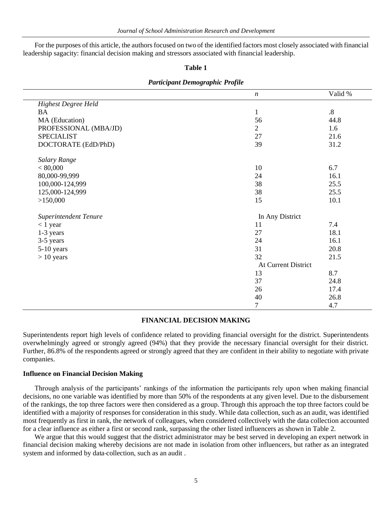For the purposes of this article, the authors focused on two of the identified factors most closely associated with financial leadership sagacity: financial decision making and stressors associated with financial leadership.

#### **Table 1**

|                            | $\boldsymbol{n}$    | Valid % |
|----------------------------|---------------------|---------|
| <b>Highest Degree Held</b> |                     |         |
| <b>BA</b>                  | $\mathbf{1}$        | $.8\,$  |
| MA (Education)             | 56                  | 44.8    |
| PROFESSIONAL (MBA/JD)      | $\overline{2}$      | 1.6     |
| <b>SPECIALIST</b>          | 27                  | 21.6    |
| DOCTORATE (EdD/PhD)        | 39                  | 31.2    |
| Salary Range               |                     |         |
| < 80,000                   | 10                  | 6.7     |
| 80,000-99,999              | 24                  | 16.1    |
| 100,000-124,999            | 38                  | 25.5    |
| 125,000-124,999            | 38                  | 25.5    |
| >150,000                   | 15                  | 10.1    |
| Superintendent Tenure      | In Any District     |         |
| $< 1$ year                 | 11                  | 7.4     |
| 1-3 years                  | 27                  | 18.1    |
| 3-5 years                  | 24                  | 16.1    |
| 5-10 years                 | 31                  | 20.8    |
| $> 10$ years               | 32                  | 21.5    |
|                            | At Current District |         |
|                            | 13                  | 8.7     |
|                            | 37                  | 24.8    |
|                            | 26                  | 17.4    |
|                            | 40                  | 26.8    |
|                            | 7                   | 4.7     |

#### *Participant Demographic Profile*

## **FINANCIAL DECISION MAKING**

Superintendents report high levels of confidence related to providing financial oversight for the district. Superintendents overwhelmingly agreed or strongly agreed (94%) that they provide the necessary financial oversight for their district. Further, 86.8% of the respondents agreed or strongly agreed that they are confident in their ability to negotiate with private companies.

#### **Influence on Financial Decision Making**

Through analysis of the participants' rankings of the information the participants rely upon when making financial decisions, no one variable was identified by more than 50% of the respondents at any given level. Due to the disbursement of the rankings, the top three factors were then considered as a group. Through this approach the top three factors could be identified with a majority of responses for consideration in this study. While data collection, such as an audit, was identified most frequently as first in rank, the network of colleagues, when considered collectively with the data collection accounted for a clear influence as either a first or second rank, surpassing the other listed influencers as shown in Table 2.

We argue that this would suggest that the district administrator may be best served in developing an expert network in financial decision making whereby decisions are not made in isolation from other influencers, but rather as an integrated system and informed by data collection, such as an audit .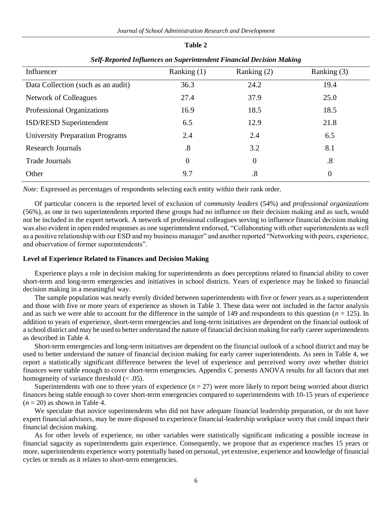*Journal of School Administration Research and Development*

**Table 2**

| эсц-кероней типиетсез он эйрегинениет т типсии Decision тикинд |                   |             |                |  |  |  |  |  |
|----------------------------------------------------------------|-------------------|-------------|----------------|--|--|--|--|--|
| Influencer                                                     | Ranking $(1)$     | Ranking (2) | Ranking $(3)$  |  |  |  |  |  |
| Data Collection (such as an audit)                             | 36.3              | 24.2        | 19.4           |  |  |  |  |  |
| Network of Colleagues                                          | 27.4              | 37.9        | 25.0           |  |  |  |  |  |
| Professional Organizations                                     | 16.9              | 18.5        | 18.5           |  |  |  |  |  |
| ISD/RESD Superintendent                                        | 6.5               | 12.9        | 21.8           |  |  |  |  |  |
| <b>University Preparation Programs</b>                         | 2.4               | 2.4         | 6.5            |  |  |  |  |  |
| <b>Research Journals</b>                                       | $\boldsymbol{.8}$ | 3.2         | 8.1            |  |  |  |  |  |
| <b>Trade Journals</b>                                          | $\Omega$          | $\theta$    | .8             |  |  |  |  |  |
| Other                                                          | 9.7               | .8          | $\overline{0}$ |  |  |  |  |  |
|                                                                |                   |             |                |  |  |  |  |  |

## *Self-Reported Influences on Superintendent Financial Decision Making*

*Note:* Expressed as percentages of respondents selecting each entity within their rank order.

Of particular concern is the reported level of exclusion of *community leaders* (54%) and *professional organizations* (56%), as one in two superintendents reported these groups had no influence on their decision making and as such, would not be included in the expert network. A network of professional colleagues serving to influence financial decision making was also evident in open ended responses as one superintendent endorsed, "Collaborating with other superintendents as well as a positive relationship with our ESD and my business manager" and another reported "Networking with peers, experience, and observation of former superintendents".

## **Level of Experience Related to Finances and Decision Making**

Experience plays a role in decision making for superintendents as does perceptions related to financial ability to cover short-term and long-term emergencies and initiatives in school districts. Years of experience may be linked to financial decision making in a meaningful way.

The sample population was nearly evenly divided between superintendents with five or fewer years as a superintendent and those with five or more years of experience as shown in Table 3. These data were not included in the factor analysis and as such we were able to account for the difference in the sample of 149 and respondents to this question  $(n = 125)$ . In addition to years of experience, short-term emergencies and long-term initiatives are dependent on the financial outlook of a school district and may be used to better understand the nature of financial decision making for early career superintendents as described in Table 4.

Short-term emergencies and long-term initiatives are dependent on the financial outlook of a school district and may be used to better understand the nature of financial decision making for early career superintendents. As seen in Table 4, we report a statistically significant difference between the level of experience and perceived worry over whether district finances were stable enough to cover short-term emergencies. Appendix C presents ANOVA results for all factors that met homogeneity of variance threshold  $(< .05)$ .

Superintendents with one to three years of experience  $(n = 27)$  were more likely to report being worried about district finances being stable enough to cover short-term emergencies compared to superintendents with 10-15 years of experience  $(n = 20)$  as shown in Table 4.

We speculate that novice superintendents who did not have adequate financial leadership preparation, or do not have expert financial advisors, may be more disposed to experience financial-leadership workplace worry that could impact their financial decision making.

As for other levels of experience, no other variables were statistically significant indicating a possible increase in financial sagacity as superintendents gain experience. Consequently, we propose that as experience reaches 15 years or more, superintendents experience worry potentially based on personal, yet extensive, experience and knowledge of financial cycles or trends as it relates to short-term emergencies.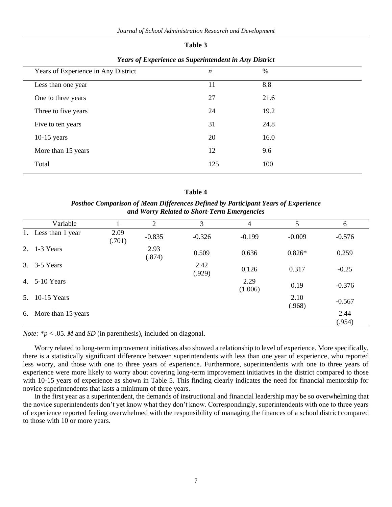| וחו<br>16<br>н |  |
|----------------|--|
|----------------|--|

| Years of Experience in Any District | n   | $\%$ |
|-------------------------------------|-----|------|
| Less than one year                  | 11  | 8.8  |
| One to three years                  | 27  | 21.6 |
| Three to five years                 | 24  | 19.2 |
| Five to ten years                   | 31  | 24.8 |
| $10-15$ years                       | 20  | 16.0 |
| More than 15 years                  | 12  | 9.6  |
| Total                               | 125 | 100  |
|                                     |     |      |

*Years of Experience as Superintendent in Any District*

| ۰,<br>× |  |
|---------|--|
|---------|--|

*Posthoc Comparison of Mean Differences Defined by Participant Years of Experience and Worry Related to Short-Term Emergencies*

|    | Variable           |                | 2              | 3              | 4               | 5              | 6              |
|----|--------------------|----------------|----------------|----------------|-----------------|----------------|----------------|
| 1. | Less than 1 year   | 2.09<br>(.701) | $-0.835$       | $-0.326$       | $-0.199$        | $-0.009$       | $-0.576$       |
|    | 2. 1-3 Years       |                | 2.93<br>(.874) | 0.509          | 0.636           | $0.826*$       | 0.259          |
| 3. | 3-5 Years          |                |                | 2.42<br>(.929) | 0.126           | 0.317          | $-0.25$        |
| 4. | 5-10 Years         |                |                |                | 2.29<br>(1.006) | 0.19           | $-0.376$       |
| 5. | $10-15$ Years      |                |                |                |                 | 2.10<br>(.968) | $-0.567$       |
| 6. | More than 15 years |                |                |                |                 |                | 2.44<br>(.954) |

*Note:*  $* p < .05$ *. M* and *SD* (in parenthesis), included on diagonal.

Worry related to long-term improvement initiatives also showed a relationship to level of experience. More specifically, there is a statistically significant difference between superintendents with less than one year of experience, who reported less worry, and those with one to three years of experience. Furthermore, superintendents with one to three years of experience were more likely to worry about covering long-term improvement initiatives in the district compared to those with 10-15 years of experience as shown in Table 5. This finding clearly indicates the need for financial mentorship for novice superintendents that lasts a minimum of three years.

In the first year as a superintendent, the demands of instructional and financial leadership may be so overwhelming that the novice superintendents don't yet know what they don't know. Correspondingly, superintendents with one to three years of experience reported feeling overwhelmed with the responsibility of managing the finances of a school district compared to those with 10 or more years.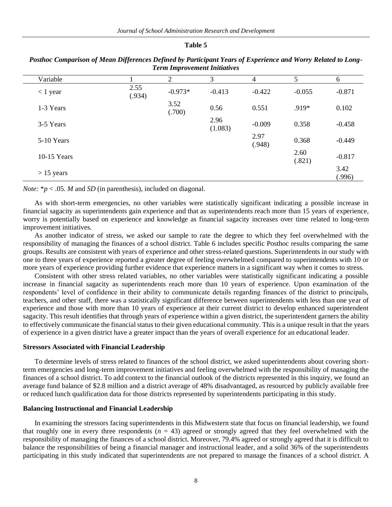#### **Table 5**

| Variable     |                | $\overline{2}$ | 3               | 4              | 5              | 6              |
|--------------|----------------|----------------|-----------------|----------------|----------------|----------------|
| $<$ 1 year   | 2.55<br>(.934) | $-0.973*$      | $-0.413$        | $-0.422$       | $-0.055$       | $-0.871$       |
| 1-3 Years    |                | 3.52<br>(.700) | 0.56            | 0.551          | .919*          | 0.102          |
| 3-5 Years    |                |                | 2.96<br>(1.083) | $-0.009$       | 0.358          | $-0.458$       |
| 5-10 Years   |                |                |                 | 2.97<br>(.948) | 0.368          | $-0.449$       |
| 10-15 Years  |                |                |                 |                | 2.60<br>(.821) | $-0.817$       |
| $> 15$ years |                |                |                 |                |                | 3.42<br>(.996) |

*Posthoc Comparison of Mean Differences Defined by Participant Years of Experience and Worry Related to Long-Term Improvement Initiatives*

*Note:*  $* p < .05$ . *M* and *SD* (in parenthesis), included on diagonal.

As with short-term emergencies, no other variables were statistically significant indicating a possible increase in financial sagacity as superintendents gain experience and that as superintendents reach more than 15 years of experience, worry is potentially based on experience and knowledge as financial sagacity increases over time related to long-term improvement initiatives.

As another indicator of stress, we asked our sample to rate the degree to which they feel overwhelmed with the responsibility of managing the finances of a school district. Table 6 includes specific Posthoc results comparing the same groups. Results are consistent with years of experience and other stress-related questions. Superintendents in our study with one to three years of experience reported a greater degree of feeling overwhelmed compared to superintendents with 10 or more years of experience providing further evidence that experience matters in a significant way when it comes to stress.

Consistent with other stress related variables, no other variables were statistically significant indicating a possible increase in financial sagacity as superintendents reach more than 10 years of experience. Upon examination of the respondents' level of confidence in their ability to communicate details regarding finances of the district to principals, teachers, and other staff, there was a statistically significant difference between superintendents with less than one year of experience and those with more than 10 years of experience at their current district to develop enhanced superintendent sagacity. This result identifies that through years of experience within a given district, the superintendent garners the ability to effectively communicate the financial status to their given educational community. This is a unique result in that the years of experience in a given district have a greater impact than the years of overall experience for an educational leader.

#### **Stressors Associated with Financial Leadership**

To determine levels of stress related to finances of the school district, we asked superintendents about covering shortterm emergencies and long-term improvement initiatives and feeling overwhelmed with the responsibility of managing the finances of a school district. To add context to the financial outlook of the districts represented in this inquiry, we found an average fund balance of \$2.8 million and a district average of 48% disadvantaged, as resourced by publicly available free or reduced lunch qualification data for those districts represented by superintendents participating in this study.

#### **Balancing Instructional and Financial Leadership**

In examining the stressors facing superintendents in this Midwestern state that focus on financial leadership, we found that roughly one in every three respondents  $(n = 43)$  agreed or strongly agreed that they feel overwhelmed with the responsibility of managing the finances of a school district. Moreover, 79.4% agreed or strongly agreed that it is difficult to balance the responsibilities of being a financial manager and instructional leader, and a solid 36% of the superintendents participating in this study indicated that superintendents are not prepared to manage the finances of a school district. A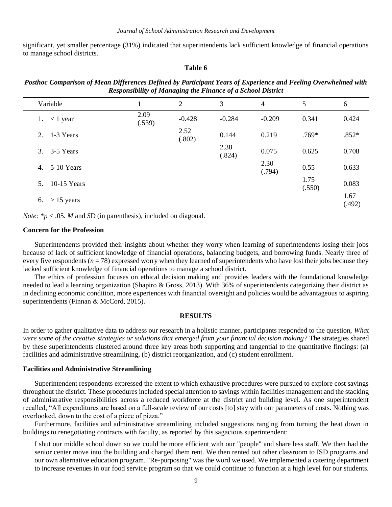significant, yet smaller percentage (31%) indicated that superintendents lack sufficient knowledge of financial operations to manage school districts.

#### **Table 6**

| Posthoc Comparison of Mean Differences Defined by Participant Years of Experience and Feeling Overwhelmed with |
|----------------------------------------------------------------------------------------------------------------|
| <b>Responsibility of Managing the Finance of a School District</b>                                             |

| Variable                        |                | 2              | 3              | 4              | 5              | 6              |
|---------------------------------|----------------|----------------|----------------|----------------|----------------|----------------|
| 1. $\lt$ 1 year                 | 2.09<br>(.539) | $-0.428$       | $-0.284$       | $-0.209$       | 0.341          | 0.424          |
| 2. $1-3$ Years                  |                | 2.52<br>(.802) | 0.144          | 0.219          | $.769*$        | $.852*$        |
| 3. 3-5 Years                    |                |                | 2.38<br>(.824) | 0.075          | 0.625          | 0.708          |
| 5-10 Years<br>4.                |                |                |                | 2.30<br>(.794) | 0.55           | 0.633          |
| $10-15$ Years<br>5 <sub>1</sub> |                |                |                |                | 1.75<br>(.550) | 0.083          |
| 6. > 15 years                   |                |                |                |                |                | 1.67<br>(.492) |

*Note:*  $* p < .05$ *. M* and *SD* (in parenthesis), included on diagonal.

#### **Concern for the Profession**

Superintendents provided their insights about whether they worry when learning of superintendents losing their jobs because of lack of sufficient knowledge of financial operations, balancing budgets, and borrowing funds. Nearly three of every five respondents ( $n = 78$ ) expressed worry when they learned of superintendents who have lost their jobs because they lacked sufficient knowledge of financial operations to manage a school district.

The ethics of profession focuses on ethical decision making and provides leaders with the foundational knowledge needed to lead a learning organization (Shapiro & Gross, 2013). With 36% of superintendents categorizing their district as in declining economic condition, more experiences with financial oversight and policies would be advantageous to aspiring superintendents (Finnan & McCord, 2015).

#### **RESULTS**

In order to gather qualitative data to address our research in a holistic manner, participants responded to the question, *What were some of the creative strategies or solutions that emerged from your financial decision making?* The strategies shared by these superintendents clustered around three key areas both supporting and tangential to the quantitative findings: (a) facilities and administrative streamlining, (b) district reorganization, and (c) student enrollment.

#### **Facilities and Administrative Streamlining**

Superintendent respondents expressed the extent to which exhaustive procedures were pursued to explore cost savings throughout the district. These procedures included special attention to savings within facilities management and the stacking of administrative responsibilities across a reduced workforce at the district and building level. As one superintendent recalled, "All expenditures are based on a full-scale review of our costs [to] stay with our parameters of costs. Nothing was overlooked, down to the cost of a piece of pizza."

Furthermore, facilities and administrative streamlining included suggestions ranging from turning the heat down in buildings to renegotiating contracts with faculty, as reported by this sagacious superintendent:

I shut our middle school down so we could be more efficient with our "people" and share less staff. We then had the senior center move into the building and charged them rent. We then rented out other classroom to ISD programs and our own alternative education program. "Re-purposing" was the word we used. We implemented a catering department to increase revenues in our food service program so that we could continue to function at a high level for our students.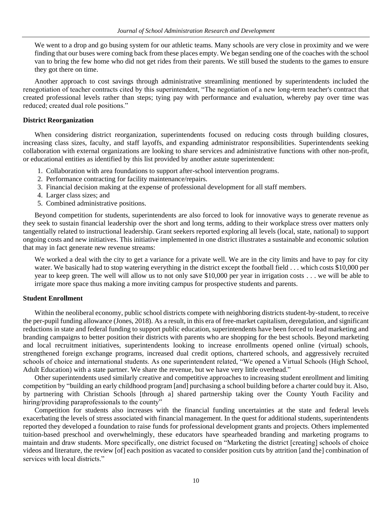We went to a drop and go busing system for our athletic teams. Many schools are very close in proximity and we were finding that our buses were coming back from these places empty. We began sending one of the coaches with the school van to bring the few home who did not get rides from their parents. We still bused the students to the games to ensure they got there on time.

Another approach to cost savings through administrative streamlining mentioned by superintendents included the renegotiation of teacher contracts cited by this superintendent, "The negotiation of a new long-term teacher's contract that created professional levels rather than steps; tying pay with performance and evaluation, whereby pay over time was reduced; created dual role positions."

#### **District Reorganization**

When considering district reorganization, superintendents focused on reducing costs through building closures, increasing class sizes, faculty, and staff layoffs, and expanding administrator responsibilities. Superintendents seeking collaboration with external organizations are looking to share services and administrative functions with other non-profit, or educational entities as identified by this list provided by another astute superintendent:

- 1. Collaboration with area foundations to support after-school intervention programs.
- 2. Performance contracting for facility maintenance/repairs.
- 3. Financial decision making at the expense of professional development for all staff members.
- 4. Larger class sizes; and
- 5. Combined administrative positions.

Beyond competition for students, superintendents are also forced to look for innovative ways to generate revenue as they seek to sustain financial leadership over the short and long terms, adding to their workplace stress over matters only tangentially related to instructional leadership. Grant seekers reported exploring all levels (local, state, national) to support ongoing costs and new initiatives. This initiative implemented in one district illustrates a sustainable and economic solution that may in fact generate new revenue streams:

We worked a deal with the city to get a variance for a private well. We are in the city limits and have to pay for city water. We basically had to stop watering everything in the district except the football field . . . which costs \$10,000 per year to keep green. The well will allow us to not only save \$10,000 per year in irrigation costs . . . we will be able to irrigate more space thus making a more inviting campus for prospective students and parents.

### **Student Enrollment**

Within the neoliberal economy, public school districts compete with neighboring districts student-by-student, to receive the per-pupil funding allowance (Jones, 2018). As a result, in this era of free-market capitalism, deregulation, and significant reductions in state and federal funding to support public education, superintendents have been forced to lead marketing and branding campaigns to better position their districts with parents who are shopping for the best schools. Beyond marketing and local recruitment initiatives, superintendents looking to increase enrollments opened online (virtual) schools, strengthened foreign exchange programs, increased dual credit options, chartered schools, and aggressively recruited schools of choice and international students. As one superintendent related, "We opened a Virtual Schools (High School, Adult Education) with a state partner. We share the revenue, but we have very little overhead."

Other superintendents used similarly creative and competitive approaches to increasing student enrollment and limiting competition by "building an early childhood program [and] purchasing a school building before a charter could buy it. Also, by partnering with Christian Schools [through a] shared partnership taking over the County Youth Facility and hiring/providing paraprofessionals to the county"

Competition for students also increases with the financial funding uncertainties at the state and federal levels exacerbating the levels of stress associated with financial management. In the quest for additional students, superintendents reported they developed a foundation to raise funds for professional development grants and projects. Others implemented tuition-based preschool and overwhelmingly, these educators have spearheaded branding and marketing programs to maintain and draw students. More specifically, one district focused on "Marketing the district [creating] schools of choice videos and literature, the review [of] each position as vacated to consider position cuts by attrition [and the] combination of services with local districts."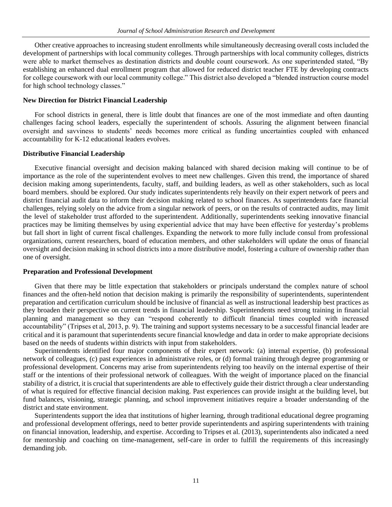Other creative approaches to increasing student enrollments while simultaneously decreasing overall costs included the development of partnerships with local community colleges. Through partnerships with local community colleges, districts were able to market themselves as destination districts and double count coursework. As one superintended stated, "By establishing an enhanced dual enrollment program that allowed for reduced district teacher FTE by developing contracts for college coursework with our local community college." This district also developed a "blended instruction course model for high school technology classes."

#### **New Direction for District Financial Leadership**

For school districts in general, there is little doubt that finances are one of the most immediate and often daunting challenges facing school leaders, especially the superintendent of schools. Assuring the alignment between financial oversight and savviness to students' needs becomes more critical as funding uncertainties coupled with enhanced accountability for K-12 educational leaders evolves.

#### **Distributive Financial Leadership**

Executive financial oversight and decision making balanced with shared decision making will continue to be of importance as the role of the superintendent evolves to meet new challenges. Given this trend, the importance of shared decision making among superintendents, faculty, staff, and building leaders, as well as other stakeholders, such as local board members. should be explored. Our study indicates superintendents rely heavily on their expert network of peers and district financial audit data to inform their decision making related to school finances. As superintendents face financial challenges, relying solely on the advice from a singular network of peers, or on the results of contracted audits, may limit the level of stakeholder trust afforded to the superintendent. Additionally, superintendents seeking innovative financial practices may be limiting themselves by using experiential advice that may have been effective for yesterday's problems but fall short in light of current fiscal challenges. Expanding the network to more fully include consul from professional organizations, current researchers, board of education members, and other stakeholders will update the onus of financial oversight and decision making in school districts into a more distributive model, fostering a culture of ownership rather than one of oversight.

#### **Preparation and Professional Development**

Given that there may be little expectation that stakeholders or principals understand the complex nature of school finances and the often-held notion that decision making is primarily the responsibility of superintendents, superintendent preparation and certification curriculum should be inclusive of financial as well as instructional leadership best practices as they broaden their perspective on current trends in financial leadership. Superintendents need strong training in financial planning and management so they can "respond coherently to difficult financial times coupled with increased accountability" (Tripses et al, 2013, p. 9). The training and support systems necessary to be a successful financial leader are critical and it is paramount that superintendents secure financial knowledge and data in order to make appropriate decisions based on the needs of students within districts with input from stakeholders.

Superintendents identified four major components of their expert network: (a) internal expertise, (b) professional network of colleagues, (c) past experiences in administrative roles, or (d) formal training through degree programming or professional development. Concerns may arise from superintendents relying too heavily on the internal expertise of their staff or the intentions of their professional network of colleagues. With the weight of importance placed on the financial stability of a district, it is crucial that superintendents are able to effectively guide their district through a clear understanding of what is required for effective financial decision making. Past experiences can provide insight at the building level, but fund balances, visioning, strategic planning, and school improvement initiatives require a broader understanding of the district and state environment.

Superintendents support the idea that institutions of higher learning, through traditional educational degree programing and professional development offerings, need to better provide superintendents and aspiring superintendents with training on financial innovation, leadership, and expertise. According to Tripses et al. (2013), superintendents also indicated a need for mentorship and coaching on time-management, self-care in order to fulfill the requirements of this increasingly demanding job.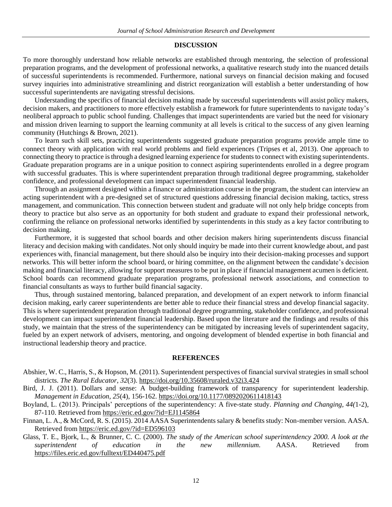#### **DISCUSSION**

To more thoroughly understand how reliable networks are established through mentoring, the selection of professional preparation programs, and the development of professional networks, a qualitative research study into the nuanced details of successful superintendents is recommended. Furthermore, national surveys on financial decision making and focused survey inquiries into administrative streamlining and district reorganization will establish a better understanding of how successful superintendents are navigating stressful decisions.

Understanding the specifics of financial decision making made by successful superintendents will assist policy makers, decision makers, and practitioners to more effectively establish a framework for future superintendents to navigate today's neoliberal approach to public school funding. Challenges that impact superintendents are varied but the need for visionary and mission driven learning to support the learning community at all levels is critical to the success of any given learning community (Hutchings & Brown, 2021).

To learn such skill sets, practicing superintendents suggested graduate preparation programs provide ample time to connect theory with application with real world problems and field experiences (Tripses et al, 2013). One approach to connecting theory to practice is through a designed learning experience for students to connect with existing superintendents. Graduate preparation programs are in a unique position to connect aspiring superintendents enrolled in a degree program with successful graduates. This is where superintendent preparation through traditional degree programming, stakeholder confidence, and professional development can impact superintendent financial leadership.

Through an assignment designed within a finance or administration course in the program, the student can interview an acting superintendent with a pre-designed set of structured questions addressing financial decision making, tactics, stress management, and communication. This connection between student and graduate will not only help bridge concepts from theory to practice but also serve as an opportunity for both student and graduate to expand their professional network, confirming the reliance on professional networks identified by superintendents in this study as a key factor contributing to decision making.

Furthermore, it is suggested that school boards and other decision makers hiring superintendents discuss financial literacy and decision making with candidates. Not only should inquiry be made into their current knowledge about, and past experiences with, financial management, but there should also be inquiry into their decision-making processes and support networks. This will better inform the school board, or hiring committee, on the alignment between the candidate's decision making and financial literacy, allowing for support measures to be put in place if financial management acumen is deficient. School boards can recommend graduate preparation programs, professional network associations, and connection to financial consultants as ways to further build financial sagacity.

Thus, through sustained mentoring, balanced preparation, and development of an expert network to inform financial decision making, early career superintendents are better able to reduce their financial stress and develop financial sagacity. This is where superintendent preparation through traditional degree programming, stakeholder confidence, and professional development can impact superintendent financial leadership. Based upon the literature and the findings and results of this study, we maintain that the stress of the superintendency can be mitigated by increasing levels of superintendent sagacity, fueled by an expert network of advisers, mentoring, and ongoing development of blended expertise in both financial and instructional leadership theory and practice.

#### **REFERENCES**

- Abshier, W. C., Harris, S., & Hopson, M. (2011). Superintendent perspectives of financial survival strategies in small school districts. *The Rural Educator*, *32*(3).<https://doi.org/10.35608/ruraled.v32i3.424>
- Bird, J. J. (2011). Dollars and sense: A budget-building framework of transparency for superintendent leadership. *Management in Education, 25*(4), 156-162[. https://doi.org/10.1177/0892020611418143](https://doi.org/10.1177/0892020611418143)
- Boyland, L. (2013). Principals' perceptions of the superintendency: A five-state study. *Planning and Changing, 44(*1-2), 87-110. Retrieved from<https://eric.ed.gov/?id=EJ1145864>
- Finnan, L. A., & McCord, R. S. (2015). 2014 AASA Superintendents salary & benefits study: Non-member version. AASA. Retrieved fro[m https://eric.ed.gov/?id=ED596103](https://eric.ed.gov/?id=ED596103)
- Glass, T. E., Bjork, L., & Brunner, C. C. (2000). *The study of the American school superintendency 2000. A look at the superintendent of education in the new millennium.* AASA. Retrieved from <https://files.eric.ed.gov/fulltext/ED440475.pdf>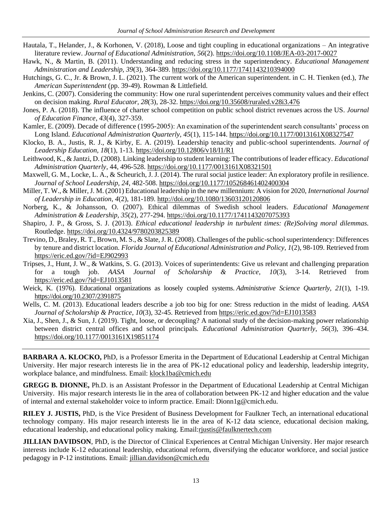- Hautala, T., Helander, J., & Korhonen, V. (2018), Loose and tight coupling in educational organizations An integrative literature review. *Journal of Educational Administration*, *56*(2)[. https://doi.org/10.1108/JEA-03-2017-0027](https://doi.org/10.1108/JEA-03-2017-0027)
- Hawk, N., & Martin, B. (2011). Understanding and reducing stress in the superintendency. *Educational Management Administration and Leadership, 39*(3), 364-389[. https://doi.org/10.1177/1741143210394000](https://doi.org/10.1177/1741143210394000)
- Hutchings, G. C., Jr. & Brown, J. L. (2021). The current work of the American superintendent. in C. H. Tienken (ed.), *The American Superintendent* (pp. 39-49). Rowman & Littlefield.
- Jenkins, C. (2007). Considering the community: How one rural superintendent perceives community values and their effect on decision making. *Rural Educator, 28*(3), 28-32[. https://doi.org/10.35608/ruraled.v28i3.476](https://doi.org/10.35608/ruraled.v28i3.476)
- Jones, P. A. (2018). The influence of charter school competition on public school district revenues across the US. *Journal of Education Finance*, *43*(4), 327-359.
- Kamler, E. (2009). Decade of difference (1995-2005): An examination of the superintendent search consultants' process on Long Island. *Educational Administration Quarterly, 45*(1), 115-144.<https://doi.org/10.1177/0013161X08327547>
- Klocko, B. A., Justis, R. J., & Kirby, E. A. (2019). Leadership tenacity and public-school superintendents. *Journal of Leadership Education, 18*(1), 1-13.<https://doi.org/10.12806/v18/I1/R1>
- Leithwood, K., & Jantzi, D. (2008). Linking leadership to student learning: The contributions of leader efficacy. *Educational Administration Quarterly*, 44, 496-528.<https://doi.org/10.1177/0013161X08321501>
- Maxwell, G. M., Locke, L. A., & Scheurich, J. J. (2014). The rural social justice leader: An exploratory profile in resilience. *Journal of School Leadership, 24*, 482-508[. https://doi.org/10.1177/105268461402400304](https://doi.org/10.1177/105268461402400304)
- Miller, T. W., & Miller, J. M. (2001) Educational leadership in the new millennium: A vision for 2020, *International Journal of Leadership in Education*, *4*(2), 181-189[. http://doi.org/10.1080/13603120120806](http://doi.org/10.1080/13603120120806)
- Norberg, K., & Johansson, O. (2007). Ethical dilemmas of Swedish school leaders. *Educational Management Administration & Leadership, 35*(2), 277-294[. https://doi.org/10.1177/1741143207075393](https://doi.org/10.1177/1741143207075393)
- Shapiro, J. P., & Gross, S. J. (2013). *Ethical educational leadership in turbulent times: (Re)Solving moral dilemmas.* Routledge[. https://doi.org/10.4324/9780203825389](https://doi.org/10.4324/9780203825389)
- Trevino, D., Braley, R. T., Brown, M. S., & Slate, J. R. (2008). Challenges of the public-school superintendency: Differences by tenure and district location. *Florida Journal of Educational Administration and Policy, 1*(2), 98-109. Retrieved from <https://eric.ed.gov/?id=EJ902993>
- Tripses, J., Hunt, J. W., & Watkins, S. G. (2013). Voices of superintendents: Give us relevant and challenging preparation for a tough job. *AASA Journal of Scholarship & Practice, 10*(3), 3-14. Retrieved from <https://eric.ed.gov/?id=EJ1013581>
- Weick, K. (1976). Educational organizations as loosely coupled systems. *Administrative Science Quarterly, 21*(1), 1-19. <https://doi.org/10.2307/2391875>
- Wells, C. M. (2013). Educational leaders describe a job too big for one: Stress reduction in the midst of leading. *AASA Journal of Scholarship & Practice, 10*(3), 32-45. Retrieved from<https://eric.ed.gov/?id=EJ1013583>
- Xia, J., Shen, J., & Sun, J. (2019). Tight, loose, or decoupling? A national study of the decision-making power relationship between district central offices and school principals. *Educational Administration Quarterly, 56*(3), 396–434. <https://doi.org/10.1177/0013161X19851174>

**BARBARA A. KLOCKO,** PhD, is a Professor Emerita in the Department of Educational Leadership at Central Michigan University. Her major research interests lie in the area of PK-12 educational policy and leadership, leadership integrity, workplace balance, and mindfulness. Email[: klock1ba@cmich.edu](mailto:klock1ba@cmich.edu)

**GREGG B. DIONNE,** Ph.D. is an Assistant Professor in the Department of Educational Leadership at Central Michigan University. His major research interests lie in the area of collaboration between PK-12 and higher education and the value of internal and external stakeholder voice to inform practice. Email: Dionn1g@cmich.edu.

**RILEY J. JUSTIS,** PhD, is the Vice President of Business Development for Faulkner Tech, an international educational technology company. His major research interests lie in the area of K-12 data science, educational decision making, educational leadership, and educational policy making. Email:riustis@faulknertech.com

**JILLIAN DAVIDSON**, PhD, is the Director of Clinical Experiences at Central Michigan University. Her major research interests include K-12 educational leadership, educational reform, diversifying the educator workforce, and social justice pedagogy in P-12 institutions. Email: [jillian.davidson@cmich.edu](mailto:jillian.davidson@cmich.edu)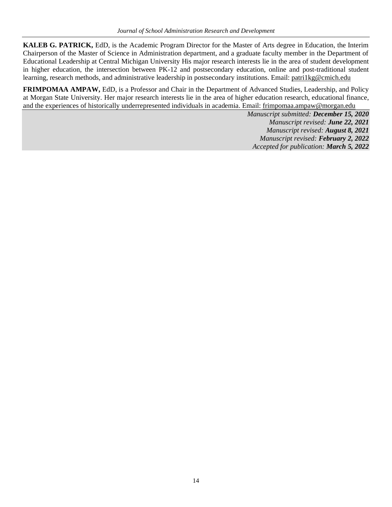**KALEB G. PATRICK,** EdD, is the Academic Program Director for the Master of Arts degree in Education, the Interim Chairperson of the Master of Science in Administration department, and a graduate faculty member in the Department of Educational Leadership at Central Michigan University His major research interests lie in the area of student development in higher education, the intersection between PK-12 and postsecondary education, online and post-traditional student learning, research methods, and administrative leadership in postsecondary institutions. Email: [patri1kg@cmich.edu](mailto:patri1kg@cmich.edu)

**FRIMPOMAA AMPAW,** EdD, is a Professor and Chair in the Department of Advanced Studies, Leadership, and Policy at Morgan State University. Her major research interests lie in the area of higher education research, educational finance, and the experiences of historically underrepresented individuals in academia. Email: [frimpomaa.ampaw@morgan.edu](mailto:frimpomaa.ampaw@morgan.edu)

> *Manuscript submitted: December 15, 2020 Manuscript revised: June 22, 2021 Manuscript revised: August 8, 2021 Manuscript revised: February 2, 2022 Accepted for publication: March 5, 2022*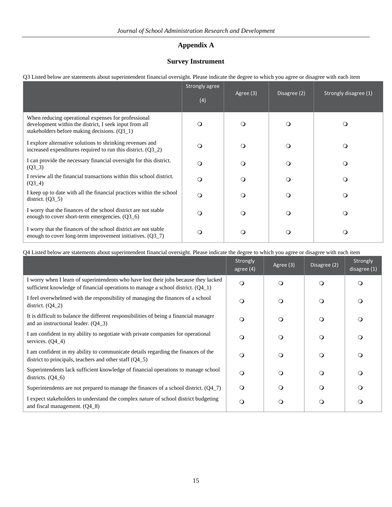## **Appendix A**

## **Survey Instrument**

|  |  |  |  | O3 Listed below are statements about superintendent financial oversight. Please indicate the degree to which you agree or disagree with each item |
|--|--|--|--|---------------------------------------------------------------------------------------------------------------------------------------------------|
|  |  |  |  |                                                                                                                                                   |
|  |  |  |  |                                                                                                                                                   |
|  |  |  |  |                                                                                                                                                   |

|                                                                                                                                                                 | Strongly agree<br>(4) | Agree (3) | Disagree (2) | Strongly disagree (1) |
|-----------------------------------------------------------------------------------------------------------------------------------------------------------------|-----------------------|-----------|--------------|-----------------------|
| When reducing operational expenses for professional<br>development within the district, I seek input from all<br>stakeholders before making decisions. $(Q3_1)$ | $\Omega$              | $\Omega$  | $\Omega$     | $\circ$               |
| I explore alternative solutions to shrinking revenues and<br>increased expenditures required to run this district. $(Q3_2)$                                     | $\circ$               | $\Omega$  | $\circ$      | $\circ$               |
| I can provide the necessary financial oversight for this district.<br>$(Q3_3)$                                                                                  | $\circ$               | $\Omega$  | $\Omega$     | $\circ$               |
| I review all the financial transactions within this school district.<br>$(Q3_4)$                                                                                | $\Omega$              | $\Omega$  | $\Omega$     | $\circ$               |
| I keep up to date with all the financial practices within the school<br>district. $(Q3_5)$                                                                      | $\Omega$              | $\Omega$  | $\circ$      | $\circ$               |
| I worry that the finances of the school district are not stable<br>enough to cover short-term emergencies. $(Q3_6)$                                             | $\circ$               | $\circ$   | $\Omega$     | $\circ$               |
| I worry that the finances of the school district are not stable<br>enough to cover long-term improvement initiatives. $(Q3_7)$                                  | $\circ$               | $\Omega$  | $\circ$      | $\circ$               |

## Q4 Listed below are statements about superintendent financial oversight. Please indicate the degree to which you agree or disagree with each item

|                                                                                                                                                                            | Strongly<br>agree $(4)$ | Agree (3) | Disagree (2) | Strongly<br>disagree (1) |
|----------------------------------------------------------------------------------------------------------------------------------------------------------------------------|-------------------------|-----------|--------------|--------------------------|
| I worry when I learn of superintendents who have lost their jobs because they lacked<br>sufficient knowledge of financial operations to manage a school district. $(Q4_1)$ | $\circ$                 | $\Omega$  | $\Omega$     | $\circ$                  |
| I feel overwhelmed with the responsibility of managing the finances of a school<br>district. $(Q4_2)$                                                                      | $\Omega$                | $\Omega$  | $\circ$      | $\circ$                  |
| It is difficult to balance the different responsibilities of being a financial manager<br>and an instructional leader. $(Q4_3)$                                            | $\Omega$                | ∩         | $\circ$      | O                        |
| I am confident in my ability to negotiate with private companies for operational<br>services. $(Q4_4)$                                                                     | $\circ$                 | $\circ$   | $\circ$      | $\circ$                  |
| I am confident in my ability to communicate details regarding the finances of the<br>district to principals, teachers and other staff $(Q4-5)$                             | $\Omega$                | $\Omega$  | $\Omega$     | $\circ$                  |
| Superintendents lack sufficient knowledge of financial operations to manage school<br>districts. $(Q4_6)$                                                                  | $\circ$                 | ∩         | O            | O                        |
| Superintendents are not prepared to manage the finances of a school district. $(Q4_7)$                                                                                     | $\circ$                 | $\Omega$  | $\circ$      | O                        |
| I expect stakeholders to understand the complex nature of school district budgeting<br>and fiscal management. $(Q4_8)$                                                     | $\circ$                 | $\circ$   | $\circ$      | O                        |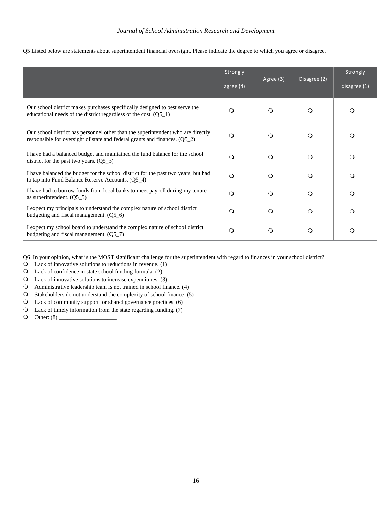| Q5 Listed below are statements about superintendent financial oversight. Please indicate the degree to which you agree or disagree. |  |  |  |
|-------------------------------------------------------------------------------------------------------------------------------------|--|--|--|
|-------------------------------------------------------------------------------------------------------------------------------------|--|--|--|

|                                                                                                                                                                  | Strongly    | Agree (3) | Disagree (2) | Strongly     |
|------------------------------------------------------------------------------------------------------------------------------------------------------------------|-------------|-----------|--------------|--------------|
|                                                                                                                                                                  | agree $(4)$ |           |              | disagree (1) |
| Our school district makes purchases specifically designed to best serve the<br>educational needs of the district regardless of the cost. $(Q5_1)$                | $\Omega$    | $\Omega$  | $\circ$      | $\Omega$     |
| Our school district has personnel other than the superintendent who are directly<br>responsible for oversight of state and federal grants and finances. $(Q5_2)$ | $\Omega$    | $\circ$   | $\circ$      | $\circ$      |
| I have had a balanced budget and maintained the fund balance for the school<br>district for the past two years. $(Q5_3)$                                         | $\Omega$    | ∩         | $\circ$      | $\circ$      |
| I have balanced the budget for the school district for the past two years, but had<br>to tap into Fund Balance Reserve Accounts. (Q5_4)                          | $\Omega$    | $\Omega$  | $\circ$      | $\circ$      |
| I have had to borrow funds from local banks to meet payroll during my tenure<br>as superintendent. $(Q5_5)$                                                      | ∩           | $\circ$   | $\circ$      | $\Omega$     |
| I expect my principals to understand the complex nature of school district<br>budgeting and fiscal management. $(Q5_6)$                                          | ∩           | $\circ$   | $\circ$      | $\circ$      |
| I expect my school board to understand the complex nature of school district<br>budgeting and fiscal management. (Q5_7)                                          | $\Omega$    | $\circ$   | $\circ$      | $\circ$      |

Q6 In your opinion, what is the MOST significant challenge for the superintendent with regard to finances in your school district?

Lack of innovative solutions to reductions in revenue. (1)

Lack of confidence in state school funding formula. (2)

Lack of innovative solutions to increase expenditures. (3)

Administrative leadership team is not trained in school finance. (4)

Stakeholders do not understand the complexity of school finance. (5)

Lack of community support for shared governance practices. (6)

Lack of timely information from the state regarding funding. (7)

Other: (8) \_\_\_\_\_\_\_\_\_\_\_\_\_\_\_\_\_\_\_\_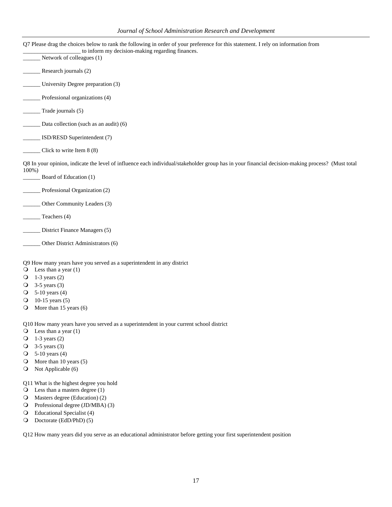|                    | Q7 Please drag the choices below to rank the following in order of your preference for this statement. I rely on information from<br>to inform my decision-making regarding finances. |
|--------------------|---------------------------------------------------------------------------------------------------------------------------------------------------------------------------------------|
|                    | Network of colleagues (1)                                                                                                                                                             |
|                    | Research journals (2)                                                                                                                                                                 |
|                    | University Degree preparation (3)                                                                                                                                                     |
|                    | Professional organizations (4)                                                                                                                                                        |
|                    | Trade journals (5)                                                                                                                                                                    |
|                    | Data collection (such as an audit) (6)                                                                                                                                                |
|                    | ISD/RESD Superintendent (7)                                                                                                                                                           |
|                    | Click to write Item 8 (8)                                                                                                                                                             |
|                    | Q8 In your opinion, indicate the level of influence each individual/stakeholder group has in your financial decision-making process? (Must total                                      |
| $100\%$ )          | Board of Education (1)                                                                                                                                                                |
|                    | Professional Organization (2)                                                                                                                                                         |
|                    | Other Community Leaders (3)                                                                                                                                                           |
|                    | Teachers (4)                                                                                                                                                                          |
|                    |                                                                                                                                                                                       |
|                    | District Finance Managers (5)                                                                                                                                                         |
|                    | Other District Administrators (6)                                                                                                                                                     |
|                    | Q9 How many years have you served as a superintendent in any district                                                                                                                 |
|                    | $\bigcirc$ Less than a year (1)                                                                                                                                                       |
| $\circ$            | $1-3$ years $(2)$                                                                                                                                                                     |
| $\circ$            | $3-5$ years $(3)$                                                                                                                                                                     |
| $\circ$            | $5-10$ years $(4)$<br>10-15 years $(5)$                                                                                                                                               |
| $\circ$<br>$\circ$ | More than 15 years (6)                                                                                                                                                                |
|                    |                                                                                                                                                                                       |
|                    | Q10 How many years have you served as a superintendent in your current school district                                                                                                |
| $\circ$            | Less than a year $(1)$                                                                                                                                                                |
| $\circ$            | $1-3$ years $(2)$                                                                                                                                                                     |
| $\circ$            | $3-5$ years $(3)$                                                                                                                                                                     |
| $\circ$            | 5-10 years $(4)$                                                                                                                                                                      |
| $\circ$            | More than 10 years (5)                                                                                                                                                                |
| $\circ$            | Not Applicable (6)                                                                                                                                                                    |
|                    |                                                                                                                                                                                       |
| $\circ$            | Q11 What is the highest degree you hold<br>Less than a masters degree (1)                                                                                                             |
| $\circ$            | Masters degree (Education) (2)                                                                                                                                                        |
| $\circ$            | Professional degree (JD/MBA) (3)                                                                                                                                                      |
| $\circ$            | Educational Specialist (4)                                                                                                                                                            |

Doctorate (EdD/PhD) (5)

Q12 How many years did you serve as an educational administrator before getting your first superintendent position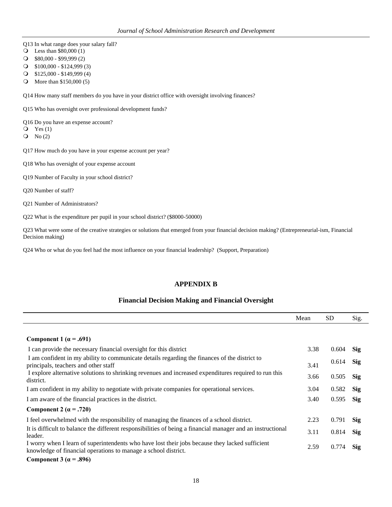- Q13 In what range does your salary fall?
- Less than \$80,000 (1)
- \$80,000 \$99,999 (2)
- \$100,000 \$124,999 (3)
- \$125,000 \$149,999 (4)
- More than \$150,000 (5)

Q14 How many staff members do you have in your district office with oversight involving finances?

Q15 Who has oversight over professional development funds?

Q16 Do you have an expense account?

- $Q$  Yes (1)
- $Q$  No  $(2)$
- Q17 How much do you have in your expense account per year?
- Q18 Who has oversight of your expense account
- Q19 Number of Faculty in your school district?
- Q20 Number of staff?
- Q21 Number of Administrators?

Q22 What is the expenditure per pupil in your school district? (\$8000-50000)

Q23 What were some of the creative strategies or solutions that emerged from your financial decision making? (Entrepreneurial-ism, Financial Decision making)

Q24 Who or what do you feel had the most influence on your financial leadership? (Support, Preparation)

### **APPENDIX B**

### **Financial Decision Making and Financial Oversight**

|                                                                                                                                                                   | Mean | <b>SD</b> | Sig.       |
|-------------------------------------------------------------------------------------------------------------------------------------------------------------------|------|-----------|------------|
|                                                                                                                                                                   |      |           |            |
| Component 1 ( $\alpha$ = .691)                                                                                                                                    |      |           |            |
| I can provide the necessary financial oversight for this district                                                                                                 | 3.38 | 0.604     | Sig        |
| I am confident in my ability to communicate details regarding the finances of the district to<br>principals, teachers and other staff                             | 3.41 | 0.614     | <b>Sig</b> |
| I explore alternative solutions to shrinking revenues and increased expenditures required to run this<br>district.                                                | 3.66 | 0.505     | <b>Sig</b> |
| I am confident in my ability to negotiate with private companies for operational services.                                                                        | 3.04 | 0.582     | <b>Sig</b> |
| I am aware of the financial practices in the district.                                                                                                            | 3.40 | 0.595     | <b>Sig</b> |
| Component 2 ( $\alpha$ = .720)                                                                                                                                    |      |           |            |
| I feel overwhelmed with the responsibility of managing the finances of a school district.                                                                         | 2.23 | 0.791     | <b>Sig</b> |
| It is difficult to balance the different responsibilities of being a financial manager and an instructional<br>leader.                                            | 3.11 | 0.814     | <b>Sig</b> |
| I worry when I learn of superintendents who have lost their jobs because they lacked sufficient<br>knowledge of financial operations to manage a school district. | 2.59 | 0.774     | <b>Sig</b> |
| Component 3 ( $\alpha$ = .896)                                                                                                                                    |      |           |            |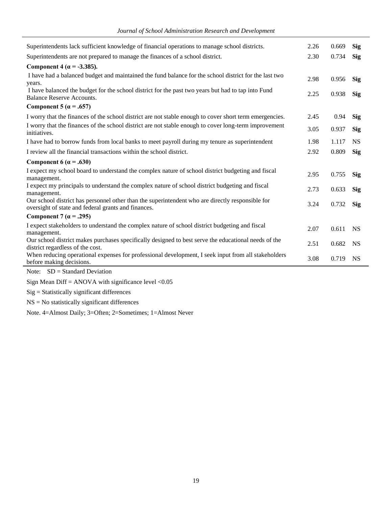|  |  | Journal of School Administration Research and Development |
|--|--|-----------------------------------------------------------|
|  |  |                                                           |
|  |  |                                                           |

| Superintendents lack sufficient knowledge of financial operations to manage school districts.                                                           | 2.26 | 0.669 | <b>Sig</b> |
|---------------------------------------------------------------------------------------------------------------------------------------------------------|------|-------|------------|
| Superintendents are not prepared to manage the finances of a school district.                                                                           | 2.30 | 0.734 | <b>Sig</b> |
| Component 4 ( $\alpha$ = -3.385).                                                                                                                       |      |       |            |
| I have had a balanced budget and maintained the fund balance for the school district for the last two<br>years.                                         | 2.98 | 0.956 | Sig        |
| I have balanced the budget for the school district for the past two years but had to tap into Fund<br>Balance Reserve Accounts.                         | 2.25 | 0.938 | <b>Sig</b> |
| Component 5 ( $\alpha$ = .657)                                                                                                                          |      |       |            |
| I worry that the finances of the school district are not stable enough to cover short term emergencies.                                                 | 2.45 | 0.94  | <b>Sig</b> |
| I worry that the finances of the school district are not stable enough to cover long-term improvement<br>initiatives.                                   | 3.05 | 0.937 | <b>Sig</b> |
| I have had to borrow funds from local banks to meet payroll during my tenure as superintendent                                                          | 1.98 | 1.117 | <b>NS</b>  |
| I review all the financial transactions within the school district.                                                                                     | 2.92 | 0.809 | <b>Sig</b> |
| Component 6 ( $\alpha$ = .630)                                                                                                                          |      |       |            |
| I expect my school board to understand the complex nature of school district budgeting and fiscal<br>management.                                        | 2.95 | 0.755 | <b>Sig</b> |
| I expect my principals to understand the complex nature of school district budgeting and fiscal<br>management.                                          | 2.73 | 0.633 | <b>Sig</b> |
| Our school district has personnel other than the superintendent who are directly responsible for<br>oversight of state and federal grants and finances. | 3.24 | 0.732 | <b>Sig</b> |
| Component 7 ( $\alpha$ = .295)                                                                                                                          |      |       |            |
| I expect stakeholders to understand the complex nature of school district budgeting and fiscal<br>management.                                           | 2.07 | 0.611 | <b>NS</b>  |
| Our school district makes purchases specifically designed to best serve the educational needs of the<br>district regardless of the cost.                | 2.51 | 0.682 | <b>NS</b>  |
| When reducing operational expenses for professional development, I seek input from all stakeholders<br>before making decisions.                         | 3.08 | 0.719 | <b>NS</b>  |

Note: SD = Standard Deviation

Sign Mean Diff = ANOVA with significance level  $< 0.05$ 

Sig = Statistically significant differences

 $NS = No$  statistically significant differences

Note. 4=Almost Daily; 3=Often; 2=Sometimes; 1=Almost Never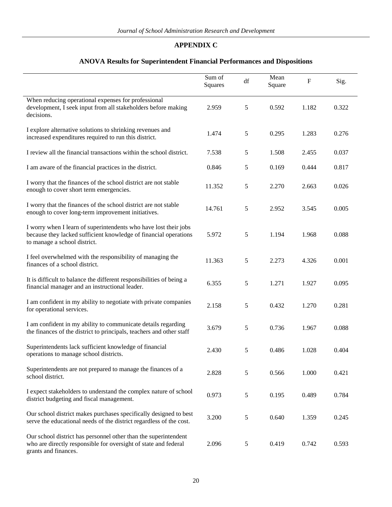## **APPENDIX C**

# **ANOVA Results for Superintendent Financial Performances and Dispositions**

|                                                                                                                                                                      | Sum of<br>Squares | df | Mean<br>Square | $\mathbf F$ | Sig.  |
|----------------------------------------------------------------------------------------------------------------------------------------------------------------------|-------------------|----|----------------|-------------|-------|
| When reducing operational expenses for professional<br>development, I seek input from all stakeholders before making<br>decisions.                                   | 2.959             | 5  | 0.592          | 1.182       | 0.322 |
| I explore alternative solutions to shrinking revenues and<br>increased expenditures required to run this district.                                                   | 1.474             | 5  | 0.295          | 1.283       | 0.276 |
| I review all the financial transactions within the school district.                                                                                                  | 7.538             | 5  | 1.508          | 2.455       | 0.037 |
| I am aware of the financial practices in the district.                                                                                                               | 0.846             | 5  | 0.169          | 0.444       | 0.817 |
| I worry that the finances of the school district are not stable<br>enough to cover short term emergencies.                                                           | 11.352            | 5  | 2.270          | 2.663       | 0.026 |
| I worry that the finances of the school district are not stable<br>enough to cover long-term improvement initiatives.                                                | 14.761            | 5  | 2.952          | 3.545       | 0.005 |
| I worry when I learn of superintendents who have lost their jobs<br>because they lacked sufficient knowledge of financial operations<br>to manage a school district. | 5.972             | 5  | 1.194          | 1.968       | 0.088 |
| I feel overwhelmed with the responsibility of managing the<br>finances of a school district.                                                                         | 11.363            | 5  | 2.273          | 4.326       | 0.001 |
| It is difficult to balance the different responsibilities of being a<br>financial manager and an instructional leader.                                               | 6.355             | 5  | 1.271          | 1.927       | 0.095 |
| I am confident in my ability to negotiate with private companies<br>for operational services.                                                                        | 2.158             | 5  | 0.432          | 1.270       | 0.281 |
| I am confident in my ability to communicate details regarding<br>the finances of the district to principals, teachers and other staff                                | 3.679             | 5  | 0.736          | 1.967       | 0.088 |
| Superintendents lack sufficient knowledge of financial<br>operations to manage school districts.                                                                     | 2.430             | 5  | 0.486          | 1.028       | 0.404 |
| Superintendents are not prepared to manage the finances of a<br>school district.                                                                                     | 2.828             | 5  | 0.566          | 1.000       | 0.421 |
| I expect stakeholders to understand the complex nature of school<br>district budgeting and fiscal management.                                                        | 0.973             | 5  | 0.195          | 0.489       | 0.784 |
| Our school district makes purchases specifically designed to best<br>serve the educational needs of the district regardless of the cost.                             | 3.200             | 5  | 0.640          | 1.359       | 0.245 |
| Our school district has personnel other than the superintendent<br>who are directly responsible for oversight of state and federal<br>grants and finances.           | 2.096             | 5  | 0.419          | 0.742       | 0.593 |